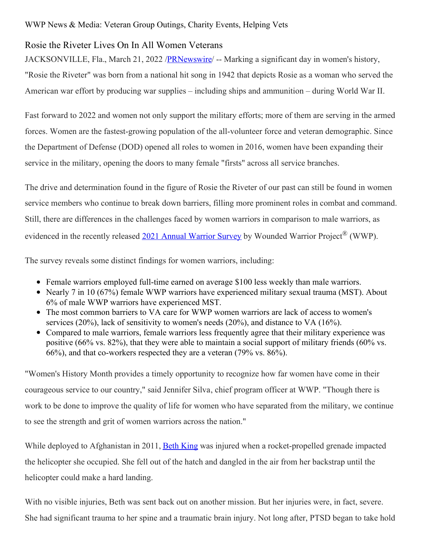## Rosie the Riveter Lives On In All Women Veterans

JACKSONVILLE, Fla., March 21, 2022 /**PRNewswire/** -- Marking a significant day in women's history, "Rosie the Riveter" was born from a national hit song in 1942 that depicts Rosie as a woman who served the American war effort by producing war supplies – including ships and ammunition – during World War II.

Fast forward to 2022 and women not only support the military efforts; more of them are serving in the armed forces. Women are the fastest-growing population of the all-volunteer force and veteran demographic. Since the Department of Defense (DOD) opened all roles to women in 2016, women have been expanding their service in the military, opening the doors to many female "firsts" across all service branches.

The drive and determination found in the figure of Rosie the Riveter of our past can still be found in women service members who continue to break down barriers, filling more prominent roles in combat and command. Still, there are differences in the challenges faced by women warriors in comparison to male warriors, as evidenced in the recently released 2021 Annual [Warrior](https://c212.net/c/link/?t=0&l=en&o=3477580-1&h=2787516046&u=https%3A%2F%2Fwww.woundedwarriorproject.org%2Fmission%2Fannual-warrior-survey%3Futm_source%3Daws2021_media%26utm_medium%3Dreferral%26utm_campaign%3DAWS2021&a=2021+Annual+Warrior+Survey) Survey by Wounded Warrior Project<sup>®</sup> (WWP).

The survey reveals some distinct findings for women warriors, including:

- Female warriors employed full-time earned on average \$100 less weekly than male warriors.
- Nearly 7 in 10 (67%) female WWP warriors have experienced military sexual trauma (MST). About 6% of male WWP warriors have experienced MST.
- The most common barriers to VA care for WWP women warriors are lack of access to women's services (20%), lack of sensitivity to women's needs (20%), and distance to VA (16%).
- Compared to male warriors, female warriors less frequently agree that their military experience was positive (66% vs. 82%), that they were able to maintain a social support of military friends (60% vs. 66%), and that co-workers respected they are a veteran (79% vs. 86%).

"Women's History Month provides a timely opportunity to recognize how far women have come in their courageous service to our country," said Jennifer Silva, chief program officer at WWP. "Though there is work to be done to improve the quality of life for women who have separated from the military, we continue to see the strength and grit of women warriors across the nation."

While deployed to Afghanistan in 2011, Beth [King](https://c212.net/c/link/?t=0&l=en&o=3477580-1&h=327349165&u=https%3A%2F%2Fnewsroom.woundedwarriorproject.org%2FBeyond-the-Uniform-Beth-King-Army-Veteran-and-Woman-Warrior%3Futm_source%3Dnewsroom%26utm_medium%3Dorganicsocial%26utm_campaign%3DEmpowerWomenVets%26utm_term%3Dnewsroom_story%26utm_content%3DBeth%2BKing%2BFeature&a=Beth+King) was injured when a rocket-propelled grenade impacted the helicopter she occupied. She fell out of the hatch and dangled in the air from her backstrap until the helicopter could make a hard landing.

With no visible injuries, Beth was sent back out on another mission. But her injuries were, in fact, severe. She had significant trauma to her spine and a traumatic brain injury. Not long after, PTSD began to take hold